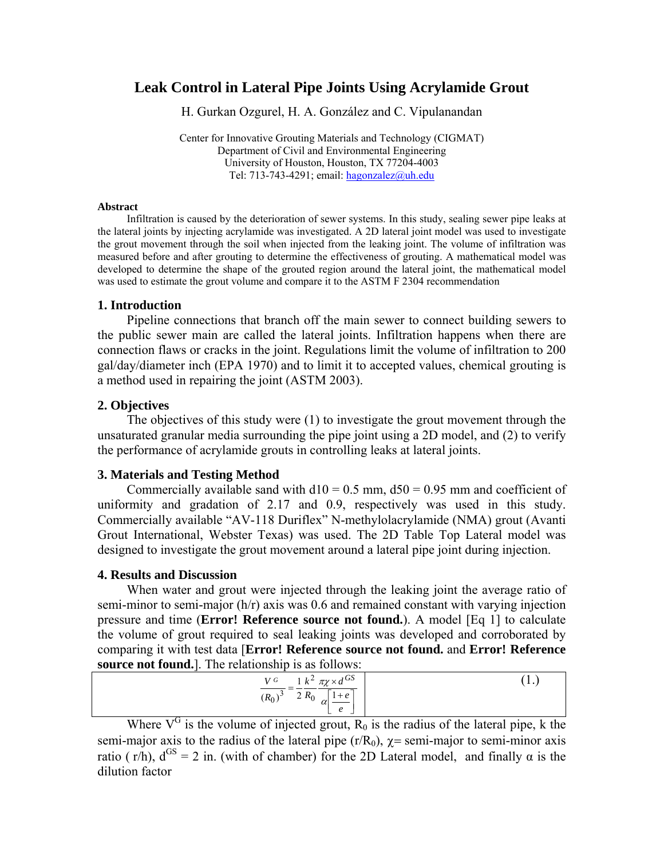# **Leak Control in Lateral Pipe Joints Using Acrylamide Grout**

H. Gurkan Ozgurel, H. A. González and C. Vipulanandan

Center for Innovative Grouting Materials and Technology (CIGMAT) Department of Civil and Environmental Engineering University of Houston, Houston, TX 77204-4003 Tel: 713-743-4291; email: [hagonzalez@uh.edu](mailto:hgozgure@mail.uh.edu)

#### **Abstract**

Infiltration is caused by the deterioration of sewer systems. In this study, sealing sewer pipe leaks at the lateral joints by injecting acrylamide was investigated. A 2D lateral joint model was used to investigate the grout movement through the soil when injected from the leaking joint. The volume of infiltration was measured before and after grouting to determine the effectiveness of grouting. A mathematical model was developed to determine the shape of the grouted region around the lateral joint, the mathematical model was used to estimate the grout volume and compare it to the ASTM F 2304 recommendation

#### **1. Introduction**

Pipeline connections that branch off the main sewer to connect building sewers to the public sewer main are called the lateral joints. Infiltration happens when there are connection flaws or cracks in the joint. Regulations limit the volume of infiltration to 200 gal/day/diameter inch (EPA 1970) and to limit it to accepted values, chemical grouting is a method used in repairing the joint (ASTM 2003).

#### **2. Objectives**

The objectives of this study were (1) to investigate the grout movement through the unsaturated granular media surrounding the pipe joint using a 2D model, and (2) to verify the performance of acrylamide grouts in controlling leaks at lateral joints.

### **3. Materials and Testing Method**

Commercially available sand with  $d10 = 0.5$  mm,  $d50 = 0.95$  mm and coefficient of uniformity and gradation of 2.17 and 0.9, respectively was used in this study. Commercially available "AV-118 Duriflex" N-methylolacrylamide (NMA) grout (Avanti Grout International, Webster Texas) was used. The 2D Table Top Lateral model was designed to investigate the grout movement around a lateral pipe joint during injection.

#### **4. Results and Discussion**

When water and grout were injected through the leaking joint the average ratio of semi-minor to semi-major (h/r) axis was 0.6 and remained constant with varying injection pressure and time (**Error! Reference source not found.**). A model [Eq 1] to calculate the volume of grout required to seal leaking joints was developed and corroborated by comparing it with test data [**Error! Reference source not found.** and **Error! Reference source not found.**]. The relationship is as follows:

| $V^G$ 1 $k^2 \pi \chi \times d^{GS}$ |  |
|--------------------------------------|--|
| $(R_0)^3$ 2 $R_0$ $\boxed{1+e}$      |  |

Where  $V^G$  is the volume of injected grout,  $R_0$  is the radius of the lateral pipe, k the semi-major axis to the radius of the lateral pipe  $(r/R_0)$ ,  $\gamma$  = semi-major to semi-minor axis ratio ( $r/h$ ),  $d^{GS} = 2$  in. (with of chamber) for the 2D Lateral model, and finally  $\alpha$  is the dilution factor